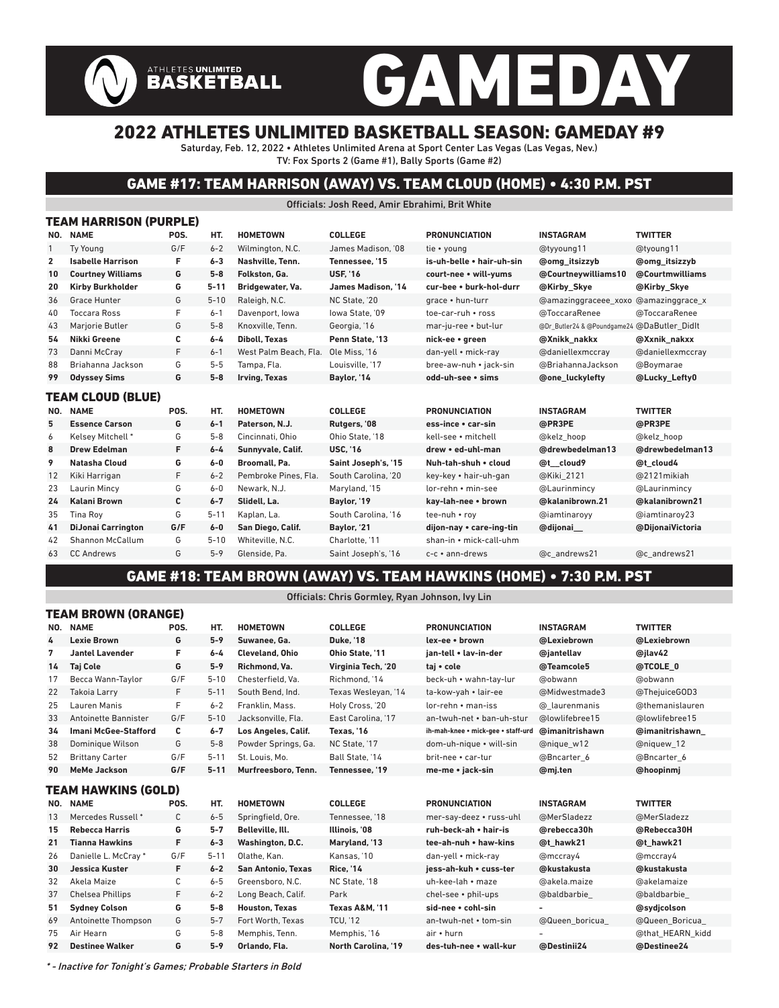# GAMEDAY

### 2022 ATHLETES UNLIMITED BASKETBALL SEASON: GAMEDAY #9

ATHLETES UNLIMITED<br>BASKETBALL

Saturday, Feb. 12, 2022 • Athletes Unlimited Arena at Sport Center Las Vegas (Las Vegas, Nev.) TV: Fox Sports 2 (Game #1), Bally Sports (Game #2)

#### GAME #17: TEAM HARRISON (AWAY) VS. TEAM CLOUD (HOME) • 4:30 P.M. PST

Officials: Josh Reed, Amir Ebrahimi, Brit White

|              | TEAM HARRISON (PURPLE)    |      |          |                       |                           |                           |                                             |                      |  |  |  |  |
|--------------|---------------------------|------|----------|-----------------------|---------------------------|---------------------------|---------------------------------------------|----------------------|--|--|--|--|
| NO.          | <b>NAME</b>               | POS. | HT.      | <b>HOMETOWN</b>       | <b>COLLEGE</b>            | <b>PRONUNCIATION</b>      | <b>INSTAGRAM</b>                            | <b>TWITTER</b>       |  |  |  |  |
| 1            | <b>Tv Young</b>           | G/F  | $6 - 2$  | Wilmington, N.C.      | James Madison. '08        | tie • voung               | @tyyoung11                                  | @tyoung11            |  |  |  |  |
| $\mathbf{2}$ | <b>Isabelle Harrison</b>  | F.   | $6 - 3$  | Nashville, Tenn.      | Tennessee. '15            | is-uh-belle . hair-uh-sin | <b>@omg</b> itsizzyb                        | <b>@omg</b> itsizzyb |  |  |  |  |
| 10           | <b>Courtney Williams</b>  | G    | $5 - 8$  | Folkston. Ga.         | <b>USF, '16</b>           | court-nee • will-yums     | @Courtneywilliams10                         | @Courtmwilliams      |  |  |  |  |
| 20           | <b>Kirby Burkholder</b>   | G    | $5 - 11$ | Bridgewater, Va.      | <b>James Madison. '14</b> | cur-bee • burk-hol-durr   | @Kirby Skye                                 | @Kirby Skye          |  |  |  |  |
| 36           | <b>Grace Hunter</b>       | G    | $5 - 10$ | Raleigh, N.C.         | NC State, '20             | grace . hun-turr          | @amazinggraceee xoxo                        | @amazinggrace x      |  |  |  |  |
| 40           | <b>Toccara Ross</b>       | F    | $6 - 1$  | Davenport, Iowa       | lowa State. '09           | toe-car-ruh • ross        | @ToccaraRenee                               | @ToccaraRenee        |  |  |  |  |
| 43           | Marjorie Butler           | G    | $5 - 8$  | Knoxville, Tenn.      | Georgia, '16              | mar-ju-ree • but-lur      | @Dr_Butler24 & @Poundgame24 @DaButler Didlt |                      |  |  |  |  |
| 54           | Nikki Greene              | С    | $6 - 4$  | <b>Diboll, Texas</b>  | Penn State. '13           | nick-ee • green           | @Xnikk nakkx                                | @Xxnik nakxx         |  |  |  |  |
| 73           | Danni McCray              | F    | $6 - 1$  | West Palm Beach, Fla. | Ole Miss. '16             | dan-yell • mick-ray       | @daniellexmccray                            | @daniellexmccray     |  |  |  |  |
| 88           | Briahanna Jackson         | G    | $5 - 5$  | Tampa, Fla.           | Louisville, '17           | bree-aw-nuh • jack-sin    | @BriahannaJackson                           | @Boymarae            |  |  |  |  |
| 99           | <b>Odyssey Sims</b>       | G    | $5-8$    | Irving, Texas         | Baylor, '14               | odd-uh-see • sims         | <b>@one luckylefty</b>                      | @Lucky Lefty0        |  |  |  |  |
|              | TEAM CLOUD (BLUE)         |      |          |                       |                           |                           |                                             |                      |  |  |  |  |
| NO.          | <b>NAME</b>               | POS. | HT.      | <b>HOMETOWN</b>       | <b>COLLEGE</b>            | <b>PRONUNCIATION</b>      | <b>INSTAGRAM</b>                            | <b>TWITTER</b>       |  |  |  |  |
| 5            | <b>Essence Carson</b>     | G    | $6 - 1$  | Paterson, N.J.        | Rutgers, '08              | ess-ince • car-sin        | @PR3PE                                      | @PR3PE               |  |  |  |  |
| 6            | Kelsey Mitchell*          | G    | $5 - 8$  | Cincinnati, Ohio      | Ohio State, '18           | kell-see • mitchell       | @kelz hoop                                  | @kelz hoop           |  |  |  |  |
| 8            | <b>Drew Edelman</b>       | F    | $6 - 4$  | Sunnyvale, Calif.     | <b>USC, '16</b>           | drew • ed-uhl-man         | @drewbedelman13                             | @drewbedelman13      |  |  |  |  |
| 9            | <b>Natasha Cloud</b>      | G    | $6-0$    | Broomall, Pa.         | Saint Joseph's, '15       | Nuh-tah-shuh • cloud      | @t cloud9                                   | @t cloud4            |  |  |  |  |
| 12           | Kiki Harrigan             | F    | $6 - 2$  | Pembroke Pines, Fla.  | South Carolina, '20       | key-key • hair-uh-gan     | @Kiki 2121                                  | @2121 mikiah         |  |  |  |  |
| 23           | Laurin Mincy              | G    | $6 - 0$  | Newark, N.J.          | Maryland, '15             | lor-rehn • min-see        | @Laurinmincy                                | @Laurinmincy         |  |  |  |  |
| 24           | <b>Kalani Brown</b>       | С    | $6 - 7$  | Slidell, La.          | Baylor, '19               | kay-lah-nee • brown       | @kalanibrown.21                             | @kalanibrown21       |  |  |  |  |
| 35           | <b>Tina Rov</b>           | G    | $5 - 11$ | Kaplan, La.           | South Carolina. '16       | tee-nuh • rov             | @iamtinaroyy                                | @iamtinaroy23        |  |  |  |  |
| 41           | <b>DiJonai Carrington</b> | G/F  | $6-0$    | San Diego, Calif.     | Baylor, '21               | dijon-nay • care-ing-tin  | @dijonai                                    | @DijonaiVictoria     |  |  |  |  |
| 42           | Shannon McCallum          | G    | $5 - 10$ | Whiteville, N.C.      | Charlotte. '11            | shan-in • mick-call-uhm   |                                             |                      |  |  |  |  |
|              |                           |      |          |                       |                           |                           |                                             |                      |  |  |  |  |
| 63           | <b>CC Andrews</b>         | G    | $5 - 9$  | Glenside, Pa.         | Saint Joseph's, '16       | c-c · ann-drews           | @c andrews21                                | @c andrews21         |  |  |  |  |

#### GAME #18: TEAM BROWN (AWAY) VS. TEAM HAWKINS (HOME) • 7:30 P.M. PST

Officials: Chris Gormley, Ryan Johnson, Ivy Lin

| TEAM BROWN (ORANGE) |                             |              |          |                           |                           |                                    |                  |                  |  |  |  |  |
|---------------------|-----------------------------|--------------|----------|---------------------------|---------------------------|------------------------------------|------------------|------------------|--|--|--|--|
| NO.                 | <b>NAME</b>                 | POS.         | HT.      | <b>HOMETOWN</b>           | <b>COLLEGE</b>            | <b>PRONUNCIATION</b>               | <b>INSTAGRAM</b> | <b>TWITTER</b>   |  |  |  |  |
| 4                   | <b>Lexie Brown</b>          | G            | $5 - 9$  | Suwanee, Ga.              | <b>Duke. '18</b>          | lex-ee • brown                     | @Lexiebrown      | @Lexiebrown      |  |  |  |  |
| 7                   | <b>Jantel Lavender</b>      | F            | $6 - 4$  | <b>Cleveland, Ohio</b>    | Ohio State. '11           | ian-tell • lav-in-der              | @iantellav       | @jlav42          |  |  |  |  |
| 14                  | <b>Taj Cole</b>             | G            | $5 - 9$  | Richmond, Va.             | Virginia Tech, '20        | taj • cole                         | @Teamcole5       | @TCOLE 0         |  |  |  |  |
| 17                  | Becca Wann-Taylor           | G/F          | $5 - 10$ | Chesterfield. Va.         | Richmond. '14             | beck-uh • wahn-tay-lur             | @obwann          | @obwann          |  |  |  |  |
| 22                  | <b>Takoia Larry</b>         | F            | $5 - 11$ | South Bend, Ind.          | Texas Wesleyan, '14       | ta-kow-yah • lair-ee               | @Midwestmade3    | @ThejuiceGOD3    |  |  |  |  |
| 25                  | Lauren Manis                | F            | $6 - 2$  | Franklin, Mass.           | Holy Cross, '20           | lor-rehn • man-iss                 | @ laurenmanis    | @themanislauren  |  |  |  |  |
| 33                  | Antoinette Bannister        | G/F          | $5 - 10$ | Jacksonville, Fla.        | East Carolina. '17        | an-twuh-net • ban-uh-stur          | @lowlifebree15   | @lowlifebree15   |  |  |  |  |
| 34                  | <b>Imani McGee-Stafford</b> | C            | $6 - 7$  | Los Angeles, Calif.       | Texas. '16                | ih-mah-knee · mick-gee · staff-urd | @imanitrishawn   | @imanitrishawn   |  |  |  |  |
| 38                  | Dominique Wilson            | G            | $5 - 8$  | Powder Springs, Ga.       | NC State. '17             | dom-uh-nique • will-sin            | @nique w12       | @niquew 12       |  |  |  |  |
| 52                  | <b>Brittany Carter</b>      | G/F          | $5 - 11$ | St. Louis. Mo.            | Ball State. '14           | brit-nee • car-tur                 | @Bncarter 6      | @Bncarter 6      |  |  |  |  |
| 90                  | <b>MeMe Jackson</b>         | G/F          | $5 - 11$ | Murfreesboro. Tenn.       | Tennessee. '19            | me-me • jack-sin                   | @mi.ten          | @hoopinmj        |  |  |  |  |
|                     | TEAM HAWKINS (GOLD)         |              |          |                           |                           |                                    |                  |                  |  |  |  |  |
| NO.                 | <b>NAME</b>                 | POS.         | HT.      | <b>HOMETOWN</b>           | <b>COLLEGE</b>            | <b>PRONUNCIATION</b>               | <b>INSTAGRAM</b> | <b>TWITTER</b>   |  |  |  |  |
| 13                  | Mercedes Russell *          | $\mathsf{C}$ | $6 - 5$  | Springfield, Ore.         | Tennessee. '18            | mer-say-deez • russ-uhl            | @MerSladezz      | @MerSladezz      |  |  |  |  |
| 15                  | <b>Rebecca Harris</b>       | G            | $5 - 7$  | Belleville, Ill.          | Illinois. '08             | ruh-beck-ah • hair-is              | @rebecca30h      | @Rebecca30H      |  |  |  |  |
| 21                  | <b>Tianna Hawkins</b>       | F            | $6 - 3$  | Washington, D.C.          | Maryland, '13             | tee-ah-nuh • haw-kins              | @t hawk21        | @t hawk21        |  |  |  |  |
| 26                  | Danielle L. McCray*         | G/F          | $5 - 11$ | Olathe, Kan.              | Kansas, '10               | dan-yell • mick-ray                | @mccray4         | @mccray4         |  |  |  |  |
| 30                  | <b>Jessica Kuster</b>       | F.           | $6 - 2$  | <b>San Antonio, Texas</b> | <b>Rice. '14</b>          | iess-ah-kuh • cuss-ter             | @kustakusta      | @kustakusta      |  |  |  |  |
| 32                  | Akela Maize                 | C            | $6 - 5$  | Greensboro, N.C.          | NC State. '18             | uh-kee-lah • maze                  | @akela.maize     | @akelamaize      |  |  |  |  |
| 37                  | <b>Chelsea Phillips</b>     | F            | $6 - 2$  | Long Beach, Calif.        | Park                      | chel-see • phil-ups                | @baldbarbie      | @baldbarbie      |  |  |  |  |
| 51                  | <b>Sydney Colson</b>        | G            | $5-8$    | <b>Houston, Texas</b>     | <b>Texas A&amp;M. '11</b> | sid-nee • cohl-sin                 |                  | @sydicolson      |  |  |  |  |
| 69                  | Antoinette Thompson         | G            | $5 - 7$  | Fort Worth, Texas         | <b>TCU, '12</b>           | an-twuh-net • tom-sin              | @Queen boricua   | @Queen Boricua   |  |  |  |  |
| 75                  | Air Hearn                   | G            | $5 - 8$  | Memphis, Tenn.            | Memphis, '16              | air • hurn                         |                  | @that HEARN kidd |  |  |  |  |
| 92                  | <b>Destinee Walker</b>      | G            | $5 - 9$  | Orlando, Fla.             | North Carolina, '19       | des-tuh-nee • wall-kur             | @Destinii24      | @Destinee24      |  |  |  |  |

\* - Inactive for Tonight's Games; Probable Starters in Bold